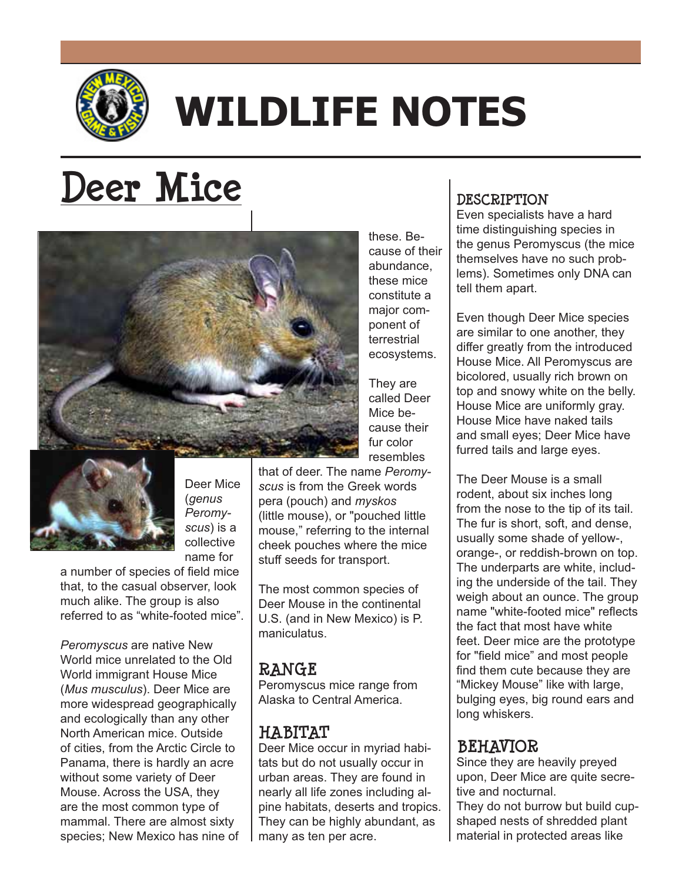

# **WILDLIFE NOTES**

# **Deer Mice**



Deer Mice (genus Peromy*scus*) is a collective name for

a number of species of field mice that, to the casual observer, look<br>much alike. The group is also referred to as "white-footed mice".

*Peromyscus* are native New World mice unrelated to the Old World immigrant House Mice wore widespread geographically and ecologically than any other North American mice Outside of check, from the Arctic Circle to without some variety of Deer Mouse. Across the USA, they are the most common type of mammal. There are almost sixty species: New Mexico has nine of these. Be-<br>cause of their abundance, these mice constitute a expressive a<br>major com-<br>popent of ponent of<br>terrestrial ecosystems.

They are called Deer Mice be-<br>cause their fur color resembles

that of deer. The name *Peromy-*<br>scus is from the Greek words scus is from the Greek words pera (pouch) and *myskos* (little mouse), or "pouched little mouse," referring to the internal cheek pouches where the mice stuff seeds for transport.

The most common species of<br>Deer Mouse in the continental U.S. (and in New Mexico) is P. maniculatus

## **RANGE**

Peromyscus mice range from<br>Alaska to Central America.

#### **HABITAT**

Deer Mice occur in myriad habitats but do not usually occur in urban areas. They are found in nearly all life zones including alpine habitats, deserts and tropics. They can be highly abundant, as many as ten per acre.

#### **DESCRIPTION**

Even specialists have a hard time distinguishing species in the genus Peromyscus (the mice themselves have no such prob lems). Sometimes only DNA can tell them apart. tell them apart.

Even though Deer Mice species differ greatly from the introduced House Mice. All Peromyscus are bicolored, usually rich brown on top and snowy white on the belly. House Mice are uniformly gray. House Mice have naked tails and small eyes; Deer Mice have furred tails and large eyes.

The Deer Mouse is a small in The fur is short, soft, and dense, usually some shade of yellow-, orange-, or reddish-brown on top. The underparts are white, including the underside of the tail. They weigh about an ounce. The group name "white-footed mice" reflects the fact that most have white feet. Deer mice are the prototype for "field mice" and most people find them cute because they are "Mickey Mouse" like with large, bulging eyes, big round ears and long whiskers.

#### **BEHAVIOR**

Since they are heavily preyed upon, Deer Mice are quite secre tive and nocturnal.

They do not burrow but build cupshaped nests of shredded plant material in protected areas like